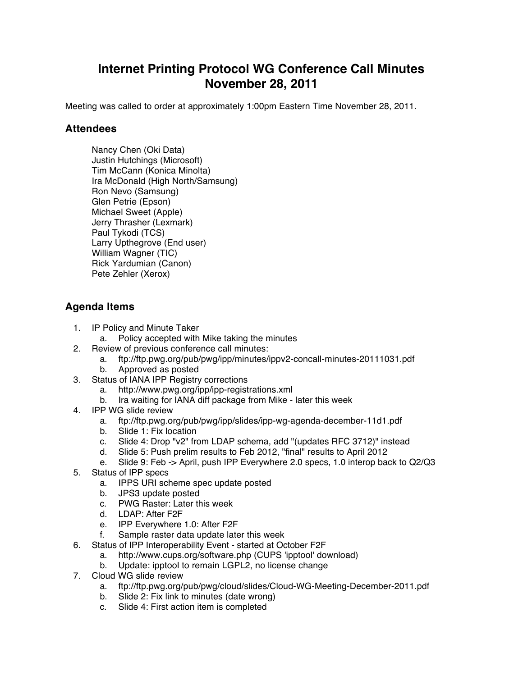## **Internet Printing Protocol WG Conference Call Minutes November 28, 2011**

Meeting was called to order at approximately 1:00pm Eastern Time November 28, 2011.

## **Attendees**

Nancy Chen (Oki Data) Justin Hutchings (Microsoft) Tim McCann (Konica Minolta) Ira McDonald (High North/Samsung) Ron Nevo (Samsung) Glen Petrie (Epson) Michael Sweet (Apple) Jerry Thrasher (Lexmark) Paul Tykodi (TCS) Larry Upthegrove (End user) William Wagner (TIC) Rick Yardumian (Canon) Pete Zehler (Xerox)

## **Agenda Items**

- 1. IP Policy and Minute Taker
	- a. Policy accepted with Mike taking the minutes
- 2. Review of previous conference call minutes:
	- a. ftp://ftp.pwg.org/pub/pwg/ipp/minutes/ippv2-concall-minutes-20111031.pdf
	- b. Approved as posted
- 3. Status of IANA IPP Registry corrections
	- a. http://www.pwg.org/ipp/ipp-registrations.xml
	- b. Ira waiting for IANA diff package from Mike later this week
- 4. IPP WG slide review
	- a. ftp://ftp.pwg.org/pub/pwg/ipp/slides/ipp-wg-agenda-december-11d1.pdf
	- b. Slide 1: Fix location
	- c. Slide 4: Drop "v2" from LDAP schema, add "(updates RFC 3712)" instead
	- d. Slide 5: Push prelim results to Feb 2012, "final" results to April 2012
	- e. Slide 9: Feb -> April, push IPP Everywhere 2.0 specs, 1.0 interop back to Q2/Q3
- 5. Status of IPP specs
	- a. IPPS URI scheme spec update posted
	- b. JPS3 update posted
	- c. PWG Raster: Later this week
	- d. LDAP: After F2F
	- e. IPP Everywhere 1.0: After F2F
	- f. Sample raster data update later this week
- 6. Status of IPP Interoperability Event started at October F2F
	- a. http://www.cups.org/software.php (CUPS 'ipptool' download)
	- b. Update: ipptool to remain LGPL2, no license change
- 7. Cloud WG slide review
	- a. ftp://ftp.pwg.org/pub/pwg/cloud/slides/Cloud-WG-Meeting-December-2011.pdf
	- b. Slide 2: Fix link to minutes (date wrong)
	- c. Slide 4: First action item is completed